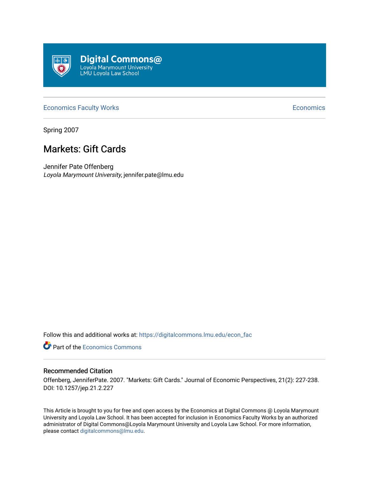

## [Economics Faculty Works](https://digitalcommons.lmu.edu/econ_fac) **Economics** Faculty Works **Economics**

Spring 2007

# Markets: Gift Cards

Jennifer Pate Offenberg Loyola Marymount University, jennifer.pate@lmu.edu

Follow this and additional works at: [https://digitalcommons.lmu.edu/econ\\_fac](https://digitalcommons.lmu.edu/econ_fac?utm_source=digitalcommons.lmu.edu%2Fecon_fac%2F19&utm_medium=PDF&utm_campaign=PDFCoverPages)

**P** Part of the [Economics Commons](http://network.bepress.com/hgg/discipline/340?utm_source=digitalcommons.lmu.edu%2Fecon_fac%2F19&utm_medium=PDF&utm_campaign=PDFCoverPages)

## Recommended Citation

Offenberg, JenniferPate. 2007. "Markets: Gift Cards." Journal of Economic Perspectives, 21(2): 227-238. DOI: 10.1257/jep.21.2.227

This Article is brought to you for free and open access by the Economics at Digital Commons @ Loyola Marymount University and Loyola Law School. It has been accepted for inclusion in Economics Faculty Works by an authorized administrator of Digital Commons@Loyola Marymount University and Loyola Law School. For more information, please contact [digitalcommons@lmu.edu](mailto:digitalcommons@lmu.edu).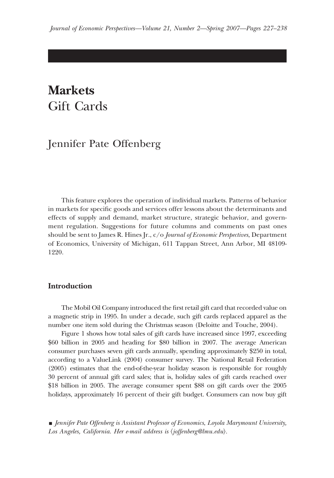# **Markets** Gift Cards

# Jennifer Pate Offenberg

This feature explores the operation of individual markets. Patterns of behavior in markets for specific goods and services offer lessons about the determinants and effects of supply and demand, market structure, strategic behavior, and government regulation. Suggestions for future columns and comments on past ones should be sent to James R. Hines Jr., c/o *Journal of Economic Perspectives*, Department of Economics, University of Michigan, 611 Tappan Street, Ann Arbor, MI 48109- 1220.

## **Introduction**

The Mobil Oil Company introduced the first retail gift card that recorded value on a magnetic strip in 1995. In under a decade, such gift cards replaced apparel as the number one item sold during the Christmas season (Deloitte and Touche, 2004).

Figure 1 shows how total sales of gift cards have increased since 1997, exceeding \$60 billion in 2005 and heading for \$80 billion in 2007. The average American consumer purchases seven gift cards annually, spending approximately \$250 in total, according to a ValueLink (2004) consumer survey. The National Retail Federation (2005) estimates that the end-of-the-year holiday season is responsible for roughly 30 percent of annual gift card sales; that is, holiday sales of gift cards reached over \$18 billion in 2005. The average consumer spent \$88 on gift cards over the 2005 holidays, approximately 16 percent of their gift budget. Consumers can now buy gift

<sup>■</sup> *Jennifer Pate Offenberg is Assistant Professor of Economics, Loyola Marymount University,* Los Angeles, California. Her e-mail address is *(joffenberg@lmu.edu)*.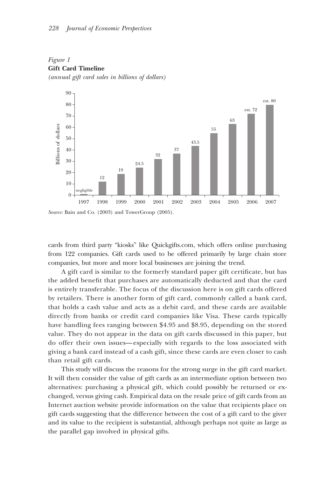

*Figure 1* **Gift Card Timeline** *(annual gift card sales in billions of dollars)*

*Source:* Bain and Co. (2003) and TowerGroup (2005).

cards from third party "kiosks" like Quickgifts.com, which offers online purchasing from 122 companies. Gift cards used to be offered primarily by large chain store companies, but more and more local businesses are joining the trend.

A gift card is similar to the formerly standard paper gift certificate, but has the added benefit that purchases are automatically deducted and that the card is entirely transferable. The focus of the discussion here is on gift cards offered by retailers. There is another form of gift card, commonly called a bank card, that holds a cash value and acts as a debit card, and these cards are available directly from banks or credit card companies like Visa. These cards typically have handling fees ranging between \$4.95 and \$8.95, depending on the stored value. They do not appear in the data on gift cards discussed in this paper, but do offer their own issues—especially with regards to the loss associated with giving a bank card instead of a cash gift, since these cards are even closer to cash than retail gift cards.

This study will discuss the reasons for the strong surge in the gift card market. It will then consider the value of gift cards as an intermediate option between two alternatives: purchasing a physical gift, which could possibly be returned or exchanged, versus giving cash. Empirical data on the resale price of gift cards from an Internet auction website provide information on the value that recipients place on gift cards suggesting that the difference between the cost of a gift card to the giver and its value to the recipient is substantial, although perhaps not quite as large as the parallel gap involved in physical gifts.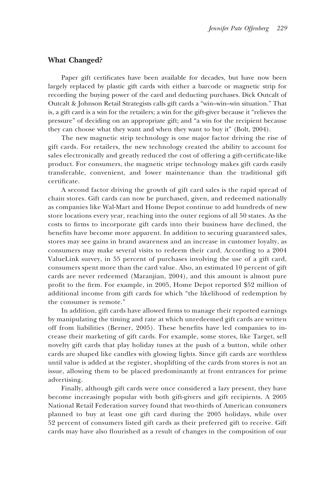## **What Changed?**

Paper gift certificates have been available for decades, but have now been largely replaced by plastic gift cards with either a barcode or magnetic strip for recording the buying power of the card and deducting purchases. Dick Outcalt of Outcalt & Johnson Retail Strategists calls gift cards a "win–win–win situation." That is, a gift card is a win for the retailers; a win for the gift-giver because it "relieves the pressure" of deciding on an appropriate gift; and "a win for the recipient because they can choose what they want and when they want to buy it" (Bolt, 2004).

The new magnetic strip technology is one major factor driving the rise of gift cards. For retailers, the new technology created the ability to account for sales electronically and greatly reduced the cost of offering a gift-certificate-like product. For consumers, the magnetic stripe technology makes gift cards easily transferable, convenient, and lower maintenance than the traditional gift certificate.

A second factor driving the growth of gift card sales is the rapid spread of chain stores. Gift cards can now be purchased, given, and redeemed nationally as companies like Wal-Mart and Home Depot continue to add hundreds of new store locations every year, reaching into the outer regions of all 50 states. As the costs to firms to incorporate gift cards into their business have declined, the benefits have become more apparent. In addition to securing guaranteed sales, stores may see gains in brand awareness and an increase in customer loyalty, as consumers may make several visits to redeem their card. According to a 2004 ValueLink survey, in 55 percent of purchases involving the use of a gift card, consumers spent more than the card value. Also, an estimated 10 percent of gift cards are never redeemed (Maranjian, 2004), and this amount is almost pure profit to the firm. For example, in 2005, Home Depot reported \$52 million of additional income from gift cards for which "the likelihood of redemption by the consumer is remote."

In addition, gift cards have allowed firms to manage their reported earnings by manipulating the timing and rate at which unredeemed gift cards are written off from liabilities (Berner, 2005). These benefits have led companies to increase their marketing of gift cards. For example, some stores, like Target, sell novelty gift cards that play holiday tunes at the push of a button, while other cards are shaped like candles with glowing lights. Since gift cards are worthless until value is added at the register, shoplifting of the cards from stores is not an issue, allowing them to be placed predominantly at front entrances for prime advertising.

Finally, although gift cards were once considered a lazy present, they have become increasingly popular with both gift-givers and gift recipients. A 2005 National Retail Federation survey found that two-thirds of American consumers planned to buy at least one gift card during the 2005 holidays, while over 52 percent of consumers listed gift cards as their preferred gift to receive. Gift cards may have also flourished as a result of changes in the composition of our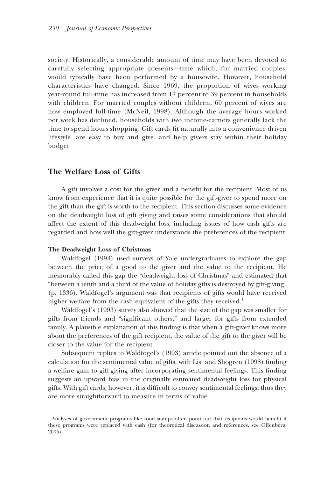society. Historically, a considerable amount of time may have been devoted to carefully selecting appropriate presents—time which, for married couples, would typically have been performed by a housewife. However, household characteristics have changed. Since 1969, the proportion of wives working year-round full-time has increased from 17 percent to 39 percent in households with children. For married couples without children, 60 percent of wives are now employed full-time (McNeil, 1998). Although the average hours worked per week has declined, households with two income-earners generally lack the time to spend hours shopping. Gift cards fit naturally into a convenience-driven lifestyle, are easy to buy and give, and help givers stay within their holiday budget.

### **The Welfare Loss of Gifts**

A gift involves a cost for the giver and a benefit for the recipient. Most of us know from experience that it is quite possible for the gift-giver to spend more on the gift than the gift is worth to the recipient. This section discusses some evidence on the deadweight loss of gift giving and raises some considerations that should affect the extent of this deadweight loss, including issues of how cash gifts are regarded and how well the gift-giver understands the preferences of the recipient.

#### **The Deadweight Loss of Christmas**

Waldfogel (1993) used surveys of Yale undergraduates to explore the gap between the price of a good to the giver and the value to the recipient. He memorably called this gap the "deadweight loss of Christmas" and estimated that "between a tenth and a third of the value of holiday gifts is destroyed by gift-giving" (p. 1336). Waldfogel's argument was that recipients of gifts would have received higher welfare from the cash equivalent of the gifts they received.<sup>1</sup>

Waldfogel's (1993) survey also showed that the size of the gap was smaller for gifts from friends and "significant others," and larger for gifts from extended family. A plausible explanation of this finding is that when a gift-giver knows more about the preferences of the gift recipient, the value of the gift to the giver will be closer to the value for the recipient.

Subsequent replies to Waldfogel's (1993) article pointed out the absence of a calculation for the sentimental value of gifts, with List and Shogren (1998) finding a welfare gain to gift-giving after incorporating sentimental feelings. This finding suggests an upward bias in the originally estimated deadweight loss for physical gifts. With gift cards, however, it is difficult to convey sentimental feelings; thus they are more straightforward to measure in terms of value.

<sup>&</sup>lt;sup>1</sup> Analyses of government programs like food stamps often point out that recipients would benefit if these programs were replaced with cash (for theoretical discussion and references, see Offenberg, 2005).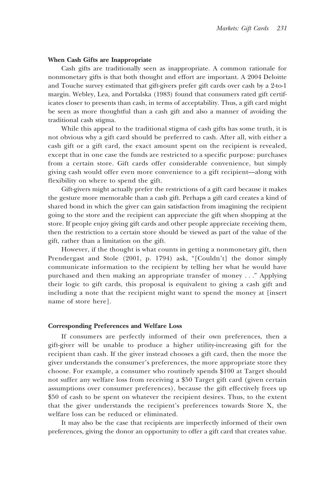#### **When Cash Gifts are Inappropriate**

Cash gifts are traditionally seen as inappropriate. A common rationale for nonmonetary gifts is that both thought and effort are important. A 2004 Deloitte and Touche survey estimated that gift-givers prefer gift cards over cash by a 2-to-1 margin. Webley, Lea, and Portalska (1983) found that consumers rated gift certificates closer to presents than cash, in terms of acceptability. Thus, a gift card might be seen as more thoughtful than a cash gift and also a manner of avoiding the traditional cash stigma.

While this appeal to the traditional stigma of cash gifts has some truth, it is not obvious why a gift card should be preferred to cash. After all, with either a cash gift or a gift card, the exact amount spent on the recipient is revealed, except that in one case the funds are restricted to a specific purpose: purchases from a certain store. Gift cards offer considerable convenience, but simply giving cash would offer even more convenience to a gift recipient—along with flexibility on where to spend the gift.

Gift-givers might actually prefer the restrictions of a gift card because it makes the gesture more memorable than a cash gift. Perhaps a gift card creates a kind of shared bond in which the giver can gain satisfaction from imagining the recipient going to the store and the recipient can appreciate the gift when shopping at the store. If people enjoy giving gift cards and other people appreciate receiving them, then the restriction to a certain store should be viewed as part of the value of the gift, rather than a limitation on the gift.

However, if the thought is what counts in getting a nonmonetary gift, then Prendergast and Stole (2001, p. 1794) ask, "[Couldn't] the donor simply communicate information to the recipient by telling her what he would have purchased and then making an appropriate transfer of money . . ." Applying their logic to gift cards, this proposal is equivalent to giving a cash gift and including a note that the recipient might want to spend the money at [insert name of store here].

#### **Corresponding Preferences and Welfare Loss**

If consumers are perfectly informed of their own preferences, then a gift-giver will be unable to produce a higher utility-increasing gift for the recipient than cash. If the giver instead chooses a gift card, then the more the giver understands the consumer's preferences, the more appropriate store they choose. For example, a consumer who routinely spends \$100 at Target should not suffer any welfare loss from receiving a \$50 Target gift card (given certain assumptions over consumer preferences), because the gift effectively frees up \$50 of cash to be spent on whatever the recipient desires. Thus, to the extent that the giver understands the recipient's preferences towards Store X, the welfare loss can be reduced or eliminated.

It may also be the case that recipients are imperfectly informed of their own preferences, giving the donor an opportunity to offer a gift card that creates value.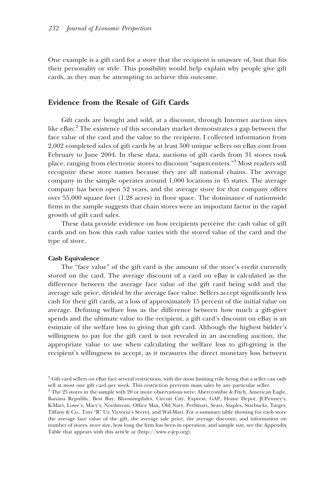One example is a gift card for a store that the recipient is unaware of, but that fits their personality or style. This possibility would help explain why people give gift cards, as they may be attempting to achieve this outcome.

### **Evidence from the Resale of Gift Cards**

Gift cards are bought and sold, at a discount, through Internet auction sites like  $eBay<sup>2</sup>$ . The existence of this secondary market demonstrates a gap between the face value of the card and the value to the recipient. I collected information from 2,002 completed sales of gift cards by at least 500 unique sellers on eBay.com from February to June 2004. In these data, auctions of gift cards from 31 stores took place, ranging from electronic stores to discount "supercenters."3 Most readers will recognize these store names because they are all national chains. The average company in the sample operates around 1,000 locations in 45 states. The average company has been open 52 years, and the average store for that company offers over 55,000 square feet (1.28 acres) in floor space. The dominance of nationwide firms in the sample suggests that chain stores were an important factor in the rapid growth of gift card sales.

These data provide evidence on how recipients perceive the cash value of gift cards and on how this cash value varies with the stored value of the card and the type of store.

#### **Cash Equivalence**

The "face value" of the gift card is the amount of the store's credit currently stored on the card. The average discount of a card on eBay is calculated as the difference between the average face value of the gift card being sold and the average sale price, divided by the average face value. Sellers accept significantly less cash for their gift cards, at a loss of approximately 15 percent of the initial value on average. Defining welfare loss as the difference between how much a gift-giver spends and the ultimate value to the recipient, a gift card's discount on eBay is an estimate of the welfare loss to giving that gift card. Although the highest bidder's willingness to pay for the gift card is not revealed in an ascending auction, the appropriate value to use when calculating the welfare loss to gift-giving is the recipient's willingness to accept, as it measures the direct monetary loss between

<sup>&</sup>lt;sup>2</sup> Gift card sellers on eBay face several restrictions, with the most limiting rule being that a seller can only sell at most one gift card per week. This restriction prevents mass sales by any particular seller.

<sup>3</sup> The 25 stores in the sample with 20 or more observations were: Abercrombie & Fitch, American Eagle, Banana Republic, Best Buy, Bloomingdales, Circuit City, Express, GAP, Home Depot, JCPenney's, K-Mart, Lowe's, Macy's, Nordstrom, Office Max, Old Navy, PetSmart, Sears, Staples, Starbucks, Target, Tiffany & Co., Toys "R" Us, Victoria's Secret, and Wal-Mart. For a summary table showing for each store the average face value of the gift, the average sale price, the average discount, and information on number of stores, store size, how long the firm has been in operation, and sample size, see the Appendix Table that appears with this article at  $\langle$ http://www.e-jep.org $\rangle$ .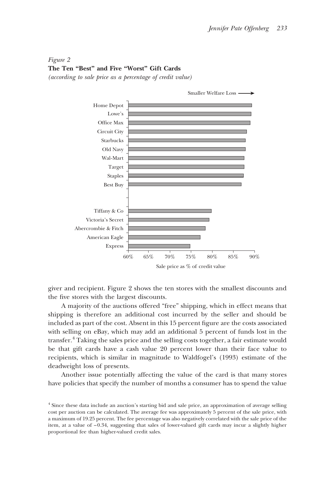## *Figure 2* **The Ten "Best" and Five "Worst" Gift Cards** *(according to sale price as a percentage of credit value)*



giver and recipient. Figure 2 shows the ten stores with the smallest discounts and the five stores with the largest discounts.

A majority of the auctions offered "free" shipping, which in effect means that shipping is therefore an additional cost incurred by the seller and should be included as part of the cost. Absent in this 15 percent figure are the costs associated with selling on eBay, which may add an additional 5 percent of funds lost in the transfer.4 Taking the sales price and the selling costs together, a fair estimate would be that gift cards have a cash value 20 percent lower than their face value to recipients, which is similar in magnitude to Waldfogel's (1993) estimate of the deadweight loss of presents.

Another issue potentially affecting the value of the card is that many stores have policies that specify the number of months a consumer has to spend the value

<sup>4</sup> Since these data include an auction's starting bid and sale price, an approximation of average selling cost per auction can be calculated. The average fee was approximately 5 percent of the sale price, with a maximum of 19.25 percent. The fee percentage was also negatively correlated with the sale price of the item, at a value of –0.34, suggesting that sales of lower-valued gift cards may incur a slightly higher proportional fee than higher-valued credit sales.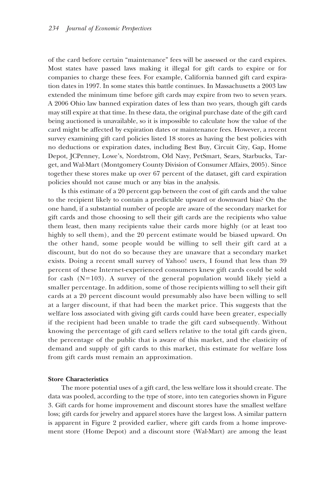of the card before certain "maintenance" fees will be assessed or the card expires. Most states have passed laws making it illegal for gift cards to expire or for companies to charge these fees. For example, California banned gift card expiration dates in 1997. In some states this battle continues. In Massachusetts a 2003 law extended the minimum time before gift cards may expire from two to seven years. A 2006 Ohio law banned expiration dates of less than two years, though gift cards may still expire at that time. In these data, the original purchase date of the gift card being auctioned is unavailable, so it is impossible to calculate how the value of the card might be affected by expiration dates or maintenance fees. However, a recent survey examining gift card policies listed 18 stores as having the best policies with no deductions or expiration dates, including Best Buy, Circuit City, Gap, Home Depot, JCPenney, Lowe's, Nordstrom, Old Navy, PetSmart, Sears, Starbucks, Target, and Wal-Mart (Montgomery County Division of Consumer Affairs, 2005). Since together these stores make up over 67 percent of the dataset, gift card expiration policies should not cause much or any bias in the analysis.

Is this estimate of a 20 percent gap between the cost of gift cards and the value to the recipient likely to contain a predictable upward or downward bias? On the one hand, if a substantial number of people are aware of the secondary market for gift cards and those choosing to sell their gift cards are the recipients who value them least, then many recipients value their cards more highly (or at least too highly to sell them), and the 20 percent estimate would be biased upward. On the other hand, some people would be willing to sell their gift card at a discount, but do not do so because they are unaware that a secondary market exists. Doing a recent small survey of Yahoo! users, I found that less than 39 percent of these Internet-experienced consumers knew gift cards could be sold for cash ( $N=103$ ). A survey of the general population would likely yield a smaller percentage. In addition, some of those recipients willing to sell their gift cards at a 20 percent discount would presumably also have been willing to sell at a larger discount, if that had been the market price. This suggests that the welfare loss associated with giving gift cards could have been greater, especially if the recipient had been unable to trade the gift card subsequently. Without knowing the percentage of gift card sellers relative to the total gift cards given, the percentage of the public that is aware of this market, and the elasticity of demand and supply of gift cards to this market, this estimate for welfare loss from gift cards must remain an approximation.

#### **Store Characteristics**

The more potential uses of a gift card, the less welfare loss it should create. The data was pooled, according to the type of store, into ten categories shown in Figure 3. Gift cards for home improvement and discount stores have the smallest welfare loss; gift cards for jewelry and apparel stores have the largest loss. A similar pattern is apparent in Figure 2 provided earlier, where gift cards from a home improvement store (Home Depot) and a discount store (Wal-Mart) are among the least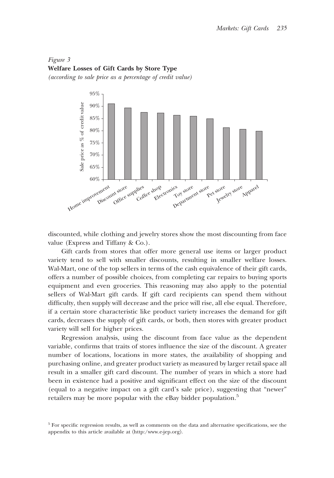*Figure 3* **Welfare Losses of Gift Cards by Store Type** *(according to sale price as a percentage of credit value)*



discounted, while clothing and jewelry stores show the most discounting from face value (Express and Tiffany & Co.).

Gift cards from stores that offer more general use items or larger product variety tend to sell with smaller discounts, resulting in smaller welfare losses. Wal-Mart, one of the top sellers in terms of the cash equivalence of their gift cards, offers a number of possible choices, from completing car repairs to buying sports equipment and even groceries. This reasoning may also apply to the potential sellers of Wal-Mart gift cards. If gift card recipients can spend them without difficulty, then supply will decrease and the price will rise, all else equal. Therefore, if a certain store characteristic like product variety increases the demand for gift cards, decreases the supply of gift cards, or both, then stores with greater product variety will sell for higher prices.

Regression analysis, using the discount from face value as the dependent variable, confirms that traits of stores influence the size of the discount. A greater number of locations, locations in more states, the availability of shopping and purchasing online, and greater product variety as measured by larger retail space all result in a smaller gift card discount. The number of years in which a store had been in existence had a positive and significant effect on the size of the discount (equal to a negative impact on a gift card's sale price), suggesting that "newer" retailers may be more popular with the eBay bidder population.<sup>5</sup>

<sup>5</sup> For specific regression results, as well as comments on the data and alternative specifications, see the appendix to this article available at  $\langle$ http:/www.e-jep.org $\rangle$ .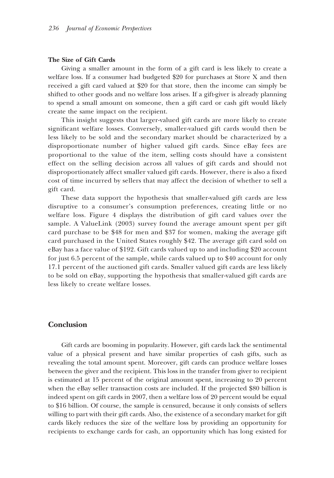#### **The Size of Gift Cards**

Giving a smaller amount in the form of a gift card is less likely to create a welfare loss. If a consumer had budgeted \$20 for purchases at Store X and then received a gift card valued at \$20 for that store, then the income can simply be shifted to other goods and no welfare loss arises. If a gift-giver is already planning to spend a small amount on someone, then a gift card or cash gift would likely create the same impact on the recipient.

This insight suggests that larger-valued gift cards are more likely to create significant welfare losses. Conversely, smaller-valued gift cards would then be less likely to be sold and the secondary market should be characterized by a disproportionate number of higher valued gift cards. Since eBay fees are proportional to the value of the item, selling costs should have a consistent effect on the selling decision across all values of gift cards and should not disproportionately affect smaller valued gift cards. However, there is also a fixed cost of time incurred by sellers that may affect the decision of whether to sell a gift card.

These data support the hypothesis that smaller-valued gift cards are less disruptive to a consumer's consumption preferences, creating little or no welfare loss. Figure 4 displays the distribution of gift card values over the sample. A ValueLink (2003) survey found the average amount spent per gift card purchase to be \$48 for men and \$37 for women, making the average gift card purchased in the United States roughly \$42. The average gift card sold on eBay has a face value of \$192. Gift cards valued up to and including \$20 account for just 6.5 percent of the sample, while cards valued up to \$40 account for only 17.1 percent of the auctioned gift cards. Smaller valued gift cards are less likely to be sold on eBay, supporting the hypothesis that smaller-valued gift cards are less likely to create welfare losses.

## **Conclusion**

Gift cards are booming in popularity. However, gift cards lack the sentimental value of a physical present and have similar properties of cash gifts, such as revealing the total amount spent. Moreover, gift cards can produce welfare losses between the giver and the recipient. This loss in the transfer from giver to recipient is estimated at 15 percent of the original amount spent, increasing to 20 percent when the eBay seller transaction costs are included. If the projected \$80 billion is indeed spent on gift cards in 2007, then a welfare loss of 20 percent would be equal to \$16 billion. Of course, the sample is censured, because it only consists of sellers willing to part with their gift cards. Also, the existence of a secondary market for gift cards likely reduces the size of the welfare loss by providing an opportunity for recipients to exchange cards for cash, an opportunity which has long existed for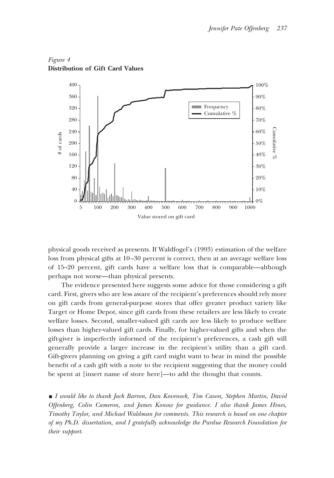

## *Figure 4* **Distribution of Gift Card Values**

physical goods received as presents. If Waldfogel's (1993) estimation of the welfare loss from physical gifts at 10–30 percent is correct, then at an average welfare loss of 15–20 percent, gift cards have a welfare loss that is comparable—although perhaps not worse—than physical presents.

The evidence presented here suggests some advice for those considering a gift card. First, givers who are less aware of the recipient's preferences should rely more on gift cards from general-purpose stores that offer greater product variety like Target or Home Depot, since gift cards from these retailers are less likely to create welfare losses. Second, smaller-valued gift cards are less likely to produce welfare losses than higher-valued gift cards. Finally, for higher-valued gifts and when the gift-giver is imperfectly informed of the recipient's preferences, a cash gift will generally provide a larger increase in the recipient's utility than a gift card. Gift-givers planning on giving a gift card might want to bear in mind the possible benefit of a cash gift with a note to the recipient suggesting that the money could be spent at [insert name of store here]—to add the thought that counts.

■ *I would like to thank Jack Barron, Dan Kovenock, Tim Cason, Stephen Martin, David Offenberg, Colin Cameron, and James Konow for guidance. I also thank James Hines, Timothy Taylor, and Michael Waldman for comments. This research is based on one chapter of my Ph.D. dissertation, and I gratefully acknowledge the Purdue Research Foundation for their support.*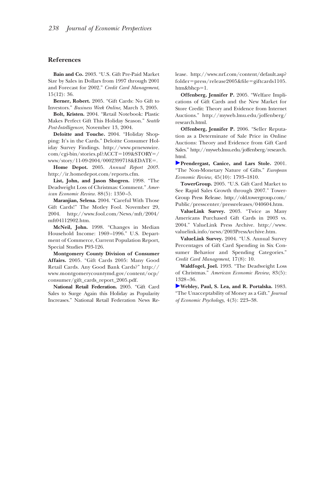#### **References**

**Bain and Co.** 2003. "U.S. Gift Pre-Paid Market Size by Sales in Dollars from 1997 through 2001 and Forecast for 2002." *Credit Card Management*, 15(12): 36.

**Berner, Robert.** 2005. "Gift Cards: No Gift to Investors." *Business Week Online,* March 3, 2005.

**Bolt, Kristen.** 2004. "Retail Notebook: Plastic Makes Perfect Gift This Holiday Season." *Seattle Post-Intelligencer,* November 13, 2004.

**Deloitte and Touche.** 2004. "Holiday Shopping: It's in the Cards." Deloitte Consumer Holiday Survey Findings. http://www.prnewswire. com/cgi-bin/stories.pl?ACCT=109&STORY=/ www/story/11-09-2004/0002399718&EDATE=.

**Home Depot.** 2005. *Annual Report 2005.* http://ir.homedepot.com/reports.cfm.

**List, John, and Jason Shogren.** 1998. "The Deadweight Loss of Christmas: Comment." *American Economic Review*. 88(5): 1350–5.

**Maranjian, Selena.** 2004. "Careful With Those Gift Cards!" The Motley Fool. November 29, 2004. http://www.fool.com/News/mft/2004/ mft04112902.htm.

**McNeil, John.** 1998. "Changes in Median Household Income: 1969–1996." U.S. Department of Commerce, Current Population Report, Special Studies P93-126.

**Montgomery County Division of Consumer Affairs.** 2005. "Gift Cards 2005: Many Good Retail Cards. Any Good Bank Cards?" http:// www.montgomerycountymd.gov/content/ocp/ consumer/gift\_cards\_report\_2005.pdf.

**National Retail Federation.** 2005. "Gift Card Sales to Surge Again this Holiday as Popularity Increases." National Retail Federation News Release. http://www.nrf.com/content/default.asp?  $folder = press/release 2005 \& file = gift cards1105.$ htm&bhcp=1.

**Offenberg, Jennifer P.** 2005. "Welfare Implications of Gift Cards and the New Market for Store Credit: Theory and Evidence from Internet Auctions." http://myweb.lmu.edu/joffenberg/ research.html.

**Offenberg, Jennifer P.** 2006. "Seller Reputation as a Determinate of Sale Price in Online Auctions: Theory and Evidence from Gift Card Sales." http://myweb.lmu.edu/joffenberg/research. html.

**Prendergast, Canice, and Lars Stole.** 2001. "The Non-Monetary Nature of Gifts." *European Economic Review,* 45(10): 1793–1810.

**TowerGroup.** 2005. "U.S. Gift Card Market to See Rapid Sales Growth through 2007." Tower-Group Press Release. http://old.towergroup.com/ Public/presscenter/pressreleases/040604.htm.

**ValueLink Survey.** 2003. "Twice as Many Americans Purchased Gift Cards in 2003 vs. 2004." ValueLink Press Archive. http://www. valuelink.info/news/2003PressArchive.htm.

**ValueLink Survey.** 2004. "U.S. Annual Survey Percentages of Gift Card Spending in Six Consumer Behavior and Spending Categories." *Credit Card Management*, 17(8): 10.

**Waldfogel, Joel.** 1993. "The Deadweight Loss of Christmas." *American Economic Review,* 83(5): 1328–36.

**Webley, Paul, S. Lea, and R. Portalska.** 1983. "The Unacceptability of Money as a Gift." *Journal of Economic Psychology*, 4(3): 223–38.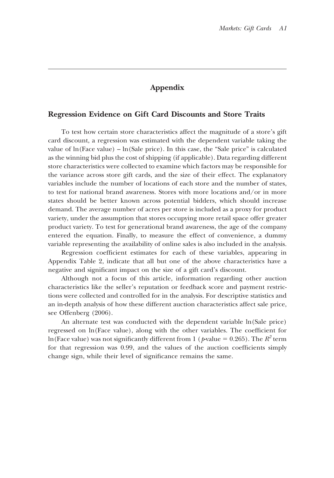## **Appendix**

#### **Regression Evidence on Gift Card Discounts and Store Traits**

To test how certain store characteristics affect the magnitude of a store's gift card discount, a regression was estimated with the dependent variable taking the value of  $ln(Face value) - ln(Sale price)$ . In this case, the "Sale price" is calculated as the winning bid plus the cost of shipping (if applicable). Data regarding different store characteristics were collected to examine which factors may be responsible for the variance across store gift cards, and the size of their effect. The explanatory variables include the number of locations of each store and the number of states, to test for national brand awareness. Stores with more locations and/or in more states should be better known across potential bidders, which should increase demand. The average number of acres per store is included as a proxy for product variety, under the assumption that stores occupying more retail space offer greater product variety. To test for generational brand awareness, the age of the company entered the equation. Finally, to measure the effect of convenience, a dummy variable representing the availability of online sales is also included in the analysis.

Regression coefficient estimates for each of these variables, appearing in Appendix Table 2, indicate that all but one of the above characteristics have a negative and significant impact on the size of a gift card's discount.

Although not a focus of this article, information regarding other auction characteristics like the seller's reputation or feedback score and payment restrictions were collected and controlled for in the analysis. For descriptive statistics and an in-depth analysis of how these different auction characteristics affect sale price, see Offenberg (2006).

An alternate test was conducted with the dependent variable ln(Sale price) regressed on ln(Face value), along with the other variables. The coefficient for ln(Face value) was not significantly different from 1 ( $p$ -value = 0.265). The  $R^2$  term for that regression was 0.99, and the values of the auction coefficients simply change sign, while their level of significance remains the same.